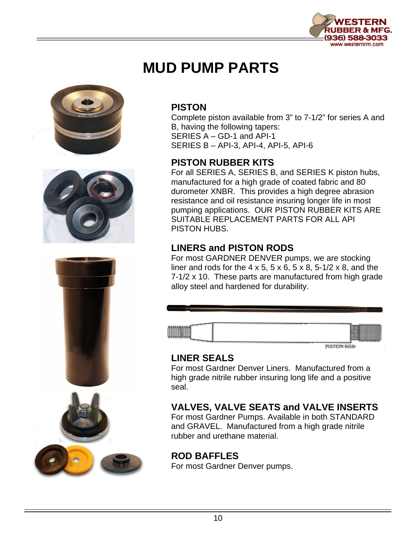

# **MUD PUMP PARTS**







#### **PISTON**

Complete piston available from 3" to 7-1/2" for series A and B, having the following tapers: SERIES A – GD-1 and API-1 SERIES B – API-3, API-4, API-5, API-6

#### **PISTON RUBBER KITS**

For all SERIES A, SERIES B, and SERIES K piston hubs, manufactured for a high grade of coated fabric and 80 durometer XNBR. This provides a high degree abrasion resistance and oil resistance insuring longer life in most pumping applications. OUR PISTON RUBBER KITS ARE SUITABLE REPLACEMENT PARTS FOR ALL API PISTON HUBS.

#### **LINERS and PISTON RODS**

For most GARDNER DENVER pumps, we are stocking liner and rods for the  $4 \times 5$ ,  $5 \times 6$ ,  $5 \times 8$ ,  $5\text{-}1/2 \times 8$ , and the 7-1/2 x 10. These parts are manufactured from high grade alloy steel and hardened for durability.



PISTON ROD

#### **LINER SEALS**

For most Gardner Denver Liners. Manufactured from a high grade nitrile rubber insuring long life and a positive seal.

### **VALVES, VALVE SEATS and VALVE INSERTS**

For most Gardner Pumps. Available in both STANDARD and GRAVEL. Manufactured from a high grade nitrile rubber and urethane material.

#### **ROD BAFFLES**

For most Gardner Denver pumps.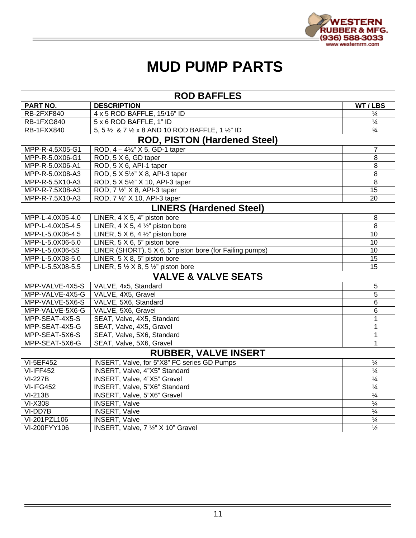

# **MUD PUMP PARTS**

| <b>ROD BAFFLES</b>          |                                                                       |  |                          |  |
|-----------------------------|-----------------------------------------------------------------------|--|--------------------------|--|
| PART NO.                    | <b>DESCRIPTION</b>                                                    |  | WT/LBS                   |  |
| <b>RB-2FXF840</b>           | 4 x 5 ROD BAFFLE, 15/16" ID                                           |  | $\frac{1}{4}$            |  |
| <b>RB-1FXG840</b>           | 5 x 6 ROD BAFFLE, 1" ID                                               |  | $\frac{1}{4}$            |  |
| <b>RB-1FXX840</b>           | 5, 5 % & 7 % x 8 AND 10 ROD BAFFLE, 1 %" ID                           |  | $\frac{3}{4}$            |  |
|                             | <b>ROD, PISTON (Hardened Steel)</b>                                   |  |                          |  |
| MPP-R-4.5X05-G1             | ROD, 4 - 41/2" X 5, GD-1 taper                                        |  | $\overline{7}$           |  |
| MPP-R-5.0X06-G1             | ROD, 5 X 6, GD taper                                                  |  | $\overline{8}$           |  |
| MPP-R-5.0X06-A1             | ROD, 5 X 6, API-1 taper                                               |  | 8                        |  |
| MPP-R-5.0X08-A3             | ROD, 5 X 51/2" X 8, API-3 taper                                       |  | 8                        |  |
| MPP-R-5.5X10-A3             | ROD, 5 X 51/2" X 10, API-3 taper                                      |  | 8                        |  |
| MPP-R-7.5X08-A3             | ROD, 7 1/2" X 8, API-3 taper                                          |  | 15                       |  |
| MPP-R-7.5X10-A3             | ROD, 7 1/2" X 10, API-3 taper                                         |  | 20                       |  |
|                             | <b>LINERS (Hardened Steel)</b>                                        |  |                          |  |
| MPP-L-4.0X05-4.0            | LINER, 4 X 5, 4" piston bore                                          |  | 8                        |  |
| MPP-L-4.0X05-4.5            | LINER, $4 \times 5$ , $4 \frac{1}{2}$ " piston bore                   |  | 8                        |  |
| MPP-L-5.0X06-4.5            | LINER, $5 \times 6$ , $4 \frac{1}{2}$ " piston bore                   |  | 10                       |  |
| MPP-L-5.0X06-5.0            | LINER, 5 X 6, 5" piston bore                                          |  | 10                       |  |
| MPP-L-5.0X06-5S             | LINER (SHORT), 5 $X\overline{6}$ , 5" piston bore (for Failing pumps) |  | 10                       |  |
| MPP-L-5.0X08-5.0            | LINER, 5 X 8, 5" piston bore                                          |  | $\overline{15}$          |  |
| MPP-L-5.5X08-5.5            | LINER, $5 \frac{1}{2} \times 8$ , $5 \frac{1}{2}$ " piston bore       |  | 15                       |  |
|                             | <b>VALVE &amp; VALVE SEATS</b>                                        |  |                          |  |
| MPP-VALVE-4X5-S             | VALVE, 4x5, Standard                                                  |  | $\overline{5}$           |  |
| MPP-VALVE-4X5-G             | VALVE, 4X5, Gravel                                                    |  | $\overline{5}$           |  |
| MPP-VALVE-5X6-S             | VALVE, 5X6, Standard                                                  |  | 6                        |  |
| MPP-VALVE-5X6-G             | VALVE, 5X6, Gravel                                                    |  | 6                        |  |
| MPP-SEAT-4X5-S              | SEAT, Valve, 4X5, Standard                                            |  | 1                        |  |
| MPP-SEAT-4X5-G              | SEAT, Valve, 4X5, Gravel                                              |  | $\mathbf{1}$             |  |
| MPP-SEAT-5X6-S              | SEAT, Valve, 5X6, Standard                                            |  | 1                        |  |
| MPP-SEAT-5X6-G              | SEAT, Valve, 5X6, Gravel                                              |  | 1                        |  |
| <b>RUBBER, VALVE INSERT</b> |                                                                       |  |                          |  |
| <b>VI-5EF452</b>            | INSERT, Valve, for 5"X8" FC series GD Pumps                           |  | $\overline{\frac{1}{4}}$ |  |
| $VI-IFF452$                 | INSERT, Valve, 4"X5" Standard                                         |  | $\frac{1}{4}$            |  |
| $VI-227B$                   | INSERT, Valve, 4"X5" Gravel                                           |  | $\overline{\frac{1}{4}}$ |  |
| VI-IFG452                   | <b>INSERT, Valve, 5"X6" Standard</b>                                  |  | $\overline{\frac{1}{4}}$ |  |
| $VI-213B$                   | <b>INSERT, Valve, 5"X6" Gravel</b>                                    |  | $\frac{1}{4}$            |  |
| <b>VI-X308</b>              | <b>INSERT, Valve</b>                                                  |  | $\overline{\frac{1}{4}}$ |  |
| VI-DD7B                     | <b>INSERT, Valve</b>                                                  |  | $\overline{\frac{1}{4}}$ |  |
| VI-201PZL106                | <b>INSERT, Valve</b>                                                  |  | $\overline{\frac{1}{4}}$ |  |
| VI-200FYY106                | INSERT, Valve, 7 1/2" X 10" Gravel                                    |  | $\overline{\frac{1}{2}}$ |  |